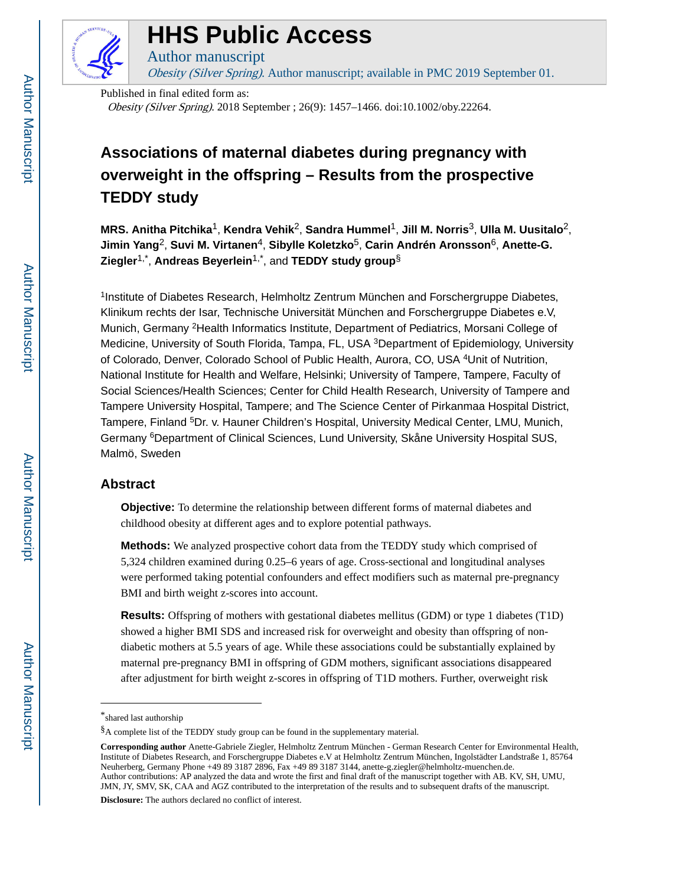

### **HHS Public Access**

Author manuscript

Obesity (Silver Spring). Author manuscript; available in PMC 2019 September 01.

Published in final edited form as: Obesity (Silver Spring). 2018 September ; 26(9): 1457–1466. doi:10.1002/oby.22264.

### **Associations of maternal diabetes during pregnancy with overweight in the offspring – Results from the prospective TEDDY study**

**MRS. Anitha Pitchika**1, **Kendra Vehik**2, **Sandra Hummel**1, **Jill M. Norris**3, **Ulla M. Uusitalo**2, **Jimin Yang**2, **Suvi M. Virtanen**4, **Sibylle Koletzko**5, **Carin Andrén Aronsson**6, **Anette-G. Ziegler**1,\* , **Andreas Beyerlein**1,\*, and **TEDDY study group**§

<sup>1</sup>Institute of Diabetes Research, Helmholtz Zentrum München and Forschergruppe Diabetes, Klinikum rechts der Isar, Technische Universität München and Forschergruppe Diabetes e.V, Munich, Germany <sup>2</sup>Health Informatics Institute, Department of Pediatrics, Morsani College of Medicine, University of South Florida, Tampa, FL, USA <sup>3</sup>Department of Epidemiology, University of Colorado, Denver, Colorado School of Public Health, Aurora, CO, USA <sup>4</sup>Unit of Nutrition, National Institute for Health and Welfare, Helsinki; University of Tampere, Tampere, Faculty of Social Sciences/Health Sciences; Center for Child Health Research, University of Tampere and Tampere University Hospital, Tampere; and The Science Center of Pirkanmaa Hospital District, Tampere, Finland <sup>5</sup>Dr. v. Hauner Children's Hospital, University Medical Center, LMU, Munich, Germany <sup>6</sup>Department of Clinical Sciences, Lund University, Skåne University Hospital SUS, Malmö, Sweden

#### **Abstract**

**Objective:** To determine the relationship between different forms of maternal diabetes and childhood obesity at different ages and to explore potential pathways.

**Methods:** We analyzed prospective cohort data from the TEDDY study which comprised of 5,324 children examined during 0.25–6 years of age. Cross-sectional and longitudinal analyses were performed taking potential confounders and effect modifiers such as maternal pre-pregnancy BMI and birth weight z-scores into account.

**Results:** Offspring of mothers with gestational diabetes mellitus (GDM) or type 1 diabetes (T1D) showed a higher BMI SDS and increased risk for overweight and obesity than offspring of nondiabetic mothers at 5.5 years of age. While these associations could be substantially explained by maternal pre-pregnancy BMI in offspring of GDM mothers, significant associations disappeared after adjustment for birth weight z-scores in offspring of T1D mothers. Further, overweight risk

**Disclosure:** The authors declared no conflict of interest.

<sup>\*</sup>shared last authorship

<sup>§</sup>A complete list of the TEDDY study group can be found in the supplementary material.

**Corresponding author** Anette-Gabriele Ziegler, Helmholtz Zentrum München - German Research Center for Environmental Health, Institute of Diabetes Research, and Forschergruppe Diabetes e.V at Helmholtz Zentrum München, Ingolstädter Landstraße 1, 85764 Neuherberg, Germany Phone +49 89 3187 2896, Fax +49 89 3187 3144, anette-g.ziegler@helmholtz-muenchen.de. Author contributions: AP analyzed the data and wrote the first and final draft of the manuscript together with AB. KV, SH, UMU, JMN, JY, SMV, SK, CAA and AGZ contributed to the interpretation of the results and to subsequent drafts of the manuscript.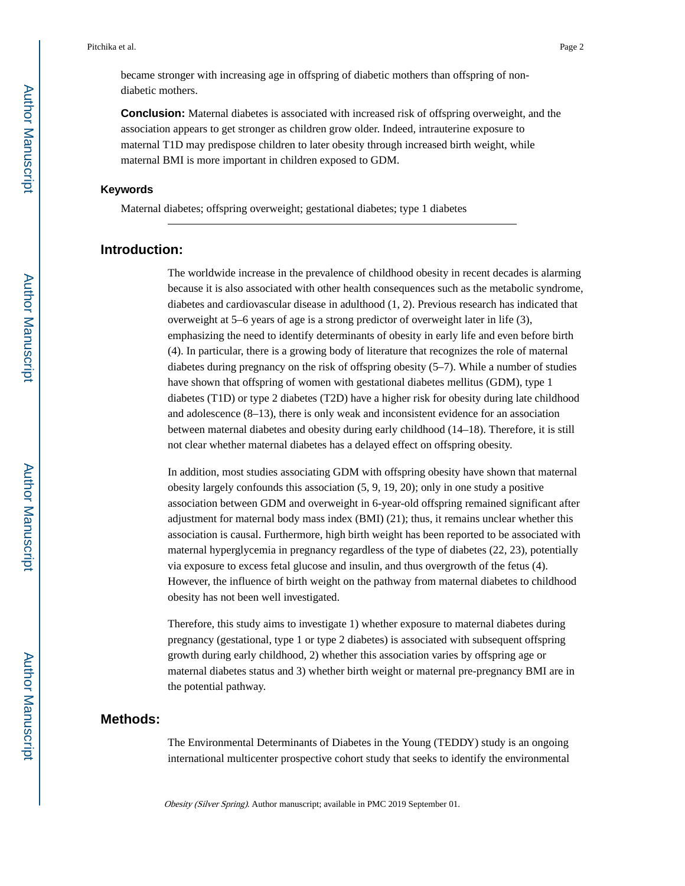became stronger with increasing age in offspring of diabetic mothers than offspring of nondiabetic mothers.

**Conclusion:** Maternal diabetes is associated with increased risk of offspring overweight, and the association appears to get stronger as children grow older. Indeed, intrauterine exposure to maternal T1D may predispose children to later obesity through increased birth weight, while maternal BMI is more important in children exposed to GDM.

#### **Keywords**

Maternal diabetes; offspring overweight; gestational diabetes; type 1 diabetes

#### **Introduction:**

The worldwide increase in the prevalence of childhood obesity in recent decades is alarming because it is also associated with other health consequences such as the metabolic syndrome, diabetes and cardiovascular disease in adulthood (1, 2). Previous research has indicated that overweight at 5–6 years of age is a strong predictor of overweight later in life (3), emphasizing the need to identify determinants of obesity in early life and even before birth (4). In particular, there is a growing body of literature that recognizes the role of maternal diabetes during pregnancy on the risk of offspring obesity (5–7). While a number of studies have shown that offspring of women with gestational diabetes mellitus (GDM), type 1 diabetes (T1D) or type 2 diabetes (T2D) have a higher risk for obesity during late childhood and adolescence (8–13), there is only weak and inconsistent evidence for an association between maternal diabetes and obesity during early childhood (14–18). Therefore, it is still not clear whether maternal diabetes has a delayed effect on offspring obesity.

In addition, most studies associating GDM with offspring obesity have shown that maternal obesity largely confounds this association (5, 9, 19, 20); only in one study a positive association between GDM and overweight in 6-year-old offspring remained significant after adjustment for maternal body mass index (BMI) (21); thus, it remains unclear whether this association is causal. Furthermore, high birth weight has been reported to be associated with maternal hyperglycemia in pregnancy regardless of the type of diabetes (22, 23), potentially via exposure to excess fetal glucose and insulin, and thus overgrowth of the fetus (4). However, the influence of birth weight on the pathway from maternal diabetes to childhood obesity has not been well investigated.

Therefore, this study aims to investigate 1) whether exposure to maternal diabetes during pregnancy (gestational, type 1 or type 2 diabetes) is associated with subsequent offspring growth during early childhood, 2) whether this association varies by offspring age or maternal diabetes status and 3) whether birth weight or maternal pre-pregnancy BMI are in the potential pathway.

#### **Methods:**

The Environmental Determinants of Diabetes in the Young (TEDDY) study is an ongoing international multicenter prospective cohort study that seeks to identify the environmental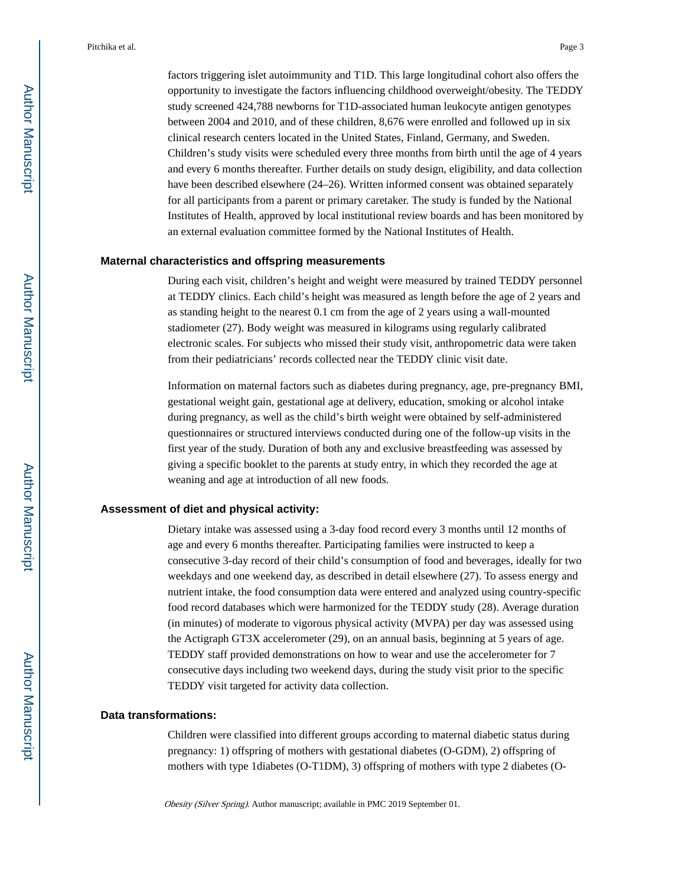factors triggering islet autoimmunity and T1D. This large longitudinal cohort also offers the opportunity to investigate the factors influencing childhood overweight/obesity. The TEDDY study screened 424,788 newborns for T1D-associated human leukocyte antigen genotypes between 2004 and 2010, and of these children, 8,676 were enrolled and followed up in six clinical research centers located in the United States, Finland, Germany, and Sweden. Children's study visits were scheduled every three months from birth until the age of 4 years and every 6 months thereafter. Further details on study design, eligibility, and data collection have been described elsewhere (24–26). Written informed consent was obtained separately for all participants from a parent or primary caretaker. The study is funded by the National Institutes of Health, approved by local institutional review boards and has been monitored by an external evaluation committee formed by the National Institutes of Health.

#### **Maternal characteristics and offspring measurements**

During each visit, children's height and weight were measured by trained TEDDY personnel at TEDDY clinics. Each child's height was measured as length before the age of 2 years and as standing height to the nearest 0.1 cm from the age of 2 years using a wall-mounted stadiometer (27). Body weight was measured in kilograms using regularly calibrated electronic scales. For subjects who missed their study visit, anthropometric data were taken from their pediatricians' records collected near the TEDDY clinic visit date.

Information on maternal factors such as diabetes during pregnancy, age, pre-pregnancy BMI, gestational weight gain, gestational age at delivery, education, smoking or alcohol intake during pregnancy, as well as the child's birth weight were obtained by self-administered questionnaires or structured interviews conducted during one of the follow-up visits in the first year of the study. Duration of both any and exclusive breastfeeding was assessed by giving a specific booklet to the parents at study entry, in which they recorded the age at weaning and age at introduction of all new foods.

#### **Assessment of diet and physical activity:**

Dietary intake was assessed using a 3-day food record every 3 months until 12 months of age and every 6 months thereafter. Participating families were instructed to keep a consecutive 3-day record of their child's consumption of food and beverages, ideally for two weekdays and one weekend day, as described in detail elsewhere (27). To assess energy and nutrient intake, the food consumption data were entered and analyzed using country-specific food record databases which were harmonized for the TEDDY study (28). Average duration (in minutes) of moderate to vigorous physical activity (MVPA) per day was assessed using the Actigraph GT3X accelerometer (29), on an annual basis, beginning at 5 years of age. TEDDY staff provided demonstrations on how to wear and use the accelerometer for 7 consecutive days including two weekend days, during the study visit prior to the specific TEDDY visit targeted for activity data collection.

#### **Data transformations:**

Children were classified into different groups according to maternal diabetic status during pregnancy: 1) offspring of mothers with gestational diabetes (O-GDM), 2) offspring of mothers with type 1diabetes (O-T1DM), 3) offspring of mothers with type 2 diabetes (O-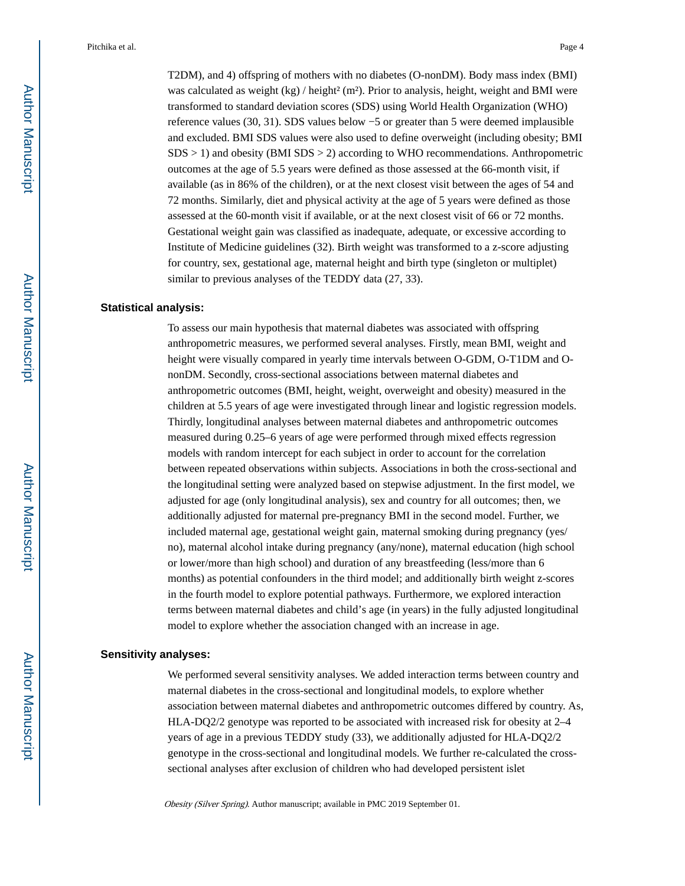T2DM), and 4) offspring of mothers with no diabetes (O-nonDM). Body mass index (BMI) was calculated as weight  $(kg) /$  height $\alpha^2$  (m<sup>2</sup>). Prior to analysis, height, weight and BMI were transformed to standard deviation scores (SDS) using World Health Organization (WHO) reference values (30, 31). SDS values below −5 or greater than 5 were deemed implausible and excluded. BMI SDS values were also used to define overweight (including obesity; BMI SDS > 1) and obesity (BMI SDS > 2) according to WHO recommendations. Anthropometric outcomes at the age of 5.5 years were defined as those assessed at the 66-month visit, if available (as in 86% of the children), or at the next closest visit between the ages of 54 and 72 months. Similarly, diet and physical activity at the age of 5 years were defined as those assessed at the 60-month visit if available, or at the next closest visit of 66 or 72 months. Gestational weight gain was classified as inadequate, adequate, or excessive according to Institute of Medicine guidelines (32). Birth weight was transformed to a z-score adjusting for country, sex, gestational age, maternal height and birth type (singleton or multiplet) similar to previous analyses of the TEDDY data  $(27, 33)$ .

#### **Statistical analysis:**

To assess our main hypothesis that maternal diabetes was associated with offspring anthropometric measures, we performed several analyses. Firstly, mean BMI, weight and height were visually compared in yearly time intervals between O-GDM, O-T1DM and OnonDM. Secondly, cross-sectional associations between maternal diabetes and anthropometric outcomes (BMI, height, weight, overweight and obesity) measured in the children at 5.5 years of age were investigated through linear and logistic regression models. Thirdly, longitudinal analyses between maternal diabetes and anthropometric outcomes measured during 0.25–6 years of age were performed through mixed effects regression models with random intercept for each subject in order to account for the correlation between repeated observations within subjects. Associations in both the cross-sectional and the longitudinal setting were analyzed based on stepwise adjustment. In the first model, we adjusted for age (only longitudinal analysis), sex and country for all outcomes; then, we additionally adjusted for maternal pre-pregnancy BMI in the second model. Further, we included maternal age, gestational weight gain, maternal smoking during pregnancy (yes/ no), maternal alcohol intake during pregnancy (any/none), maternal education (high school or lower/more than high school) and duration of any breastfeeding (less/more than 6 months) as potential confounders in the third model; and additionally birth weight z-scores in the fourth model to explore potential pathways. Furthermore, we explored interaction terms between maternal diabetes and child's age (in years) in the fully adjusted longitudinal model to explore whether the association changed with an increase in age.

#### **Sensitivity analyses:**

We performed several sensitivity analyses. We added interaction terms between country and maternal diabetes in the cross-sectional and longitudinal models, to explore whether association between maternal diabetes and anthropometric outcomes differed by country. As, HLA-DQ2/2 genotype was reported to be associated with increased risk for obesity at 2–4 years of age in a previous TEDDY study (33), we additionally adjusted for HLA-DQ2/2 genotype in the cross-sectional and longitudinal models. We further re-calculated the crosssectional analyses after exclusion of children who had developed persistent islet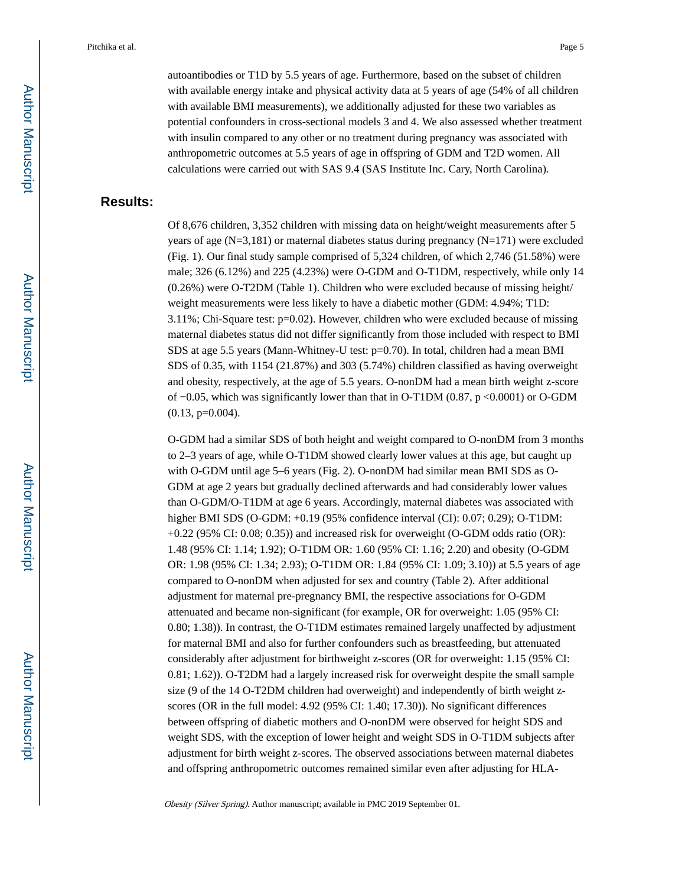autoantibodies or T1D by 5.5 years of age. Furthermore, based on the subset of children with available energy intake and physical activity data at 5 years of age (54% of all children with available BMI measurements), we additionally adjusted for these two variables as potential confounders in cross-sectional models 3 and 4. We also assessed whether treatment with insulin compared to any other or no treatment during pregnancy was associated with anthropometric outcomes at 5.5 years of age in offspring of GDM and T2D women. All calculations were carried out with SAS 9.4 (SAS Institute Inc. Cary, North Carolina).

#### **Results:**

Of 8,676 children, 3,352 children with missing data on height/weight measurements after 5 years of age (N=3,181) or maternal diabetes status during pregnancy (N=171) were excluded (Fig. 1). Our final study sample comprised of 5,324 children, of which 2,746 (51.58%) were male; 326 (6.12%) and 225 (4.23%) were O-GDM and O-T1DM, respectively, while only 14 (0.26%) were O-T2DM (Table 1). Children who were excluded because of missing height/ weight measurements were less likely to have a diabetic mother (GDM: 4.94%; T1D: 3.11%; Chi-Square test: p=0.02). However, children who were excluded because of missing maternal diabetes status did not differ significantly from those included with respect to BMI SDS at age 5.5 years (Mann-Whitney-U test: p=0.70). In total, children had a mean BMI SDS of 0.35, with 1154 (21.87%) and 303 (5.74%) children classified as having overweight and obesity, respectively, at the age of 5.5 years. O-nonDM had a mean birth weight z-score of −0.05, which was significantly lower than that in O-T1DM (0.87, p <0.0001) or O-GDM  $(0.13, p=0.004)$ .

O-GDM had a similar SDS of both height and weight compared to O-nonDM from 3 months to 2–3 years of age, while O-T1DM showed clearly lower values at this age, but caught up with O-GDM until age 5–6 years (Fig. 2). O-nonDM had similar mean BMI SDS as O-GDM at age 2 years but gradually declined afterwards and had considerably lower values than O-GDM/O-T1DM at age 6 years. Accordingly, maternal diabetes was associated with higher BMI SDS (O-GDM: +0.19 (95% confidence interval (CI): 0.07; 0.29); O-T1DM: +0.22 (95% CI: 0.08; 0.35)) and increased risk for overweight (O-GDM odds ratio (OR): 1.48 (95% CI: 1.14; 1.92); O-T1DM OR: 1.60 (95% CI: 1.16; 2.20) and obesity (O-GDM OR: 1.98 (95% CI: 1.34; 2.93); O-T1DM OR: 1.84 (95% CI: 1.09; 3.10)) at 5.5 years of age compared to O-nonDM when adjusted for sex and country (Table 2). After additional adjustment for maternal pre-pregnancy BMI, the respective associations for O-GDM attenuated and became non-significant (for example, OR for overweight: 1.05 (95% CI: 0.80; 1.38)). In contrast, the O-T1DM estimates remained largely unaffected by adjustment for maternal BMI and also for further confounders such as breastfeeding, but attenuated considerably after adjustment for birthweight z-scores (OR for overweight: 1.15 (95% CI: 0.81; 1.62)). O-T2DM had a largely increased risk for overweight despite the small sample size (9 of the 14 O-T2DM children had overweight) and independently of birth weight zscores (OR in the full model: 4.92 (95% CI: 1.40; 17.30)). No significant differences between offspring of diabetic mothers and O-nonDM were observed for height SDS and weight SDS, with the exception of lower height and weight SDS in O-T1DM subjects after adjustment for birth weight z-scores. The observed associations between maternal diabetes and offspring anthropometric outcomes remained similar even after adjusting for HLA-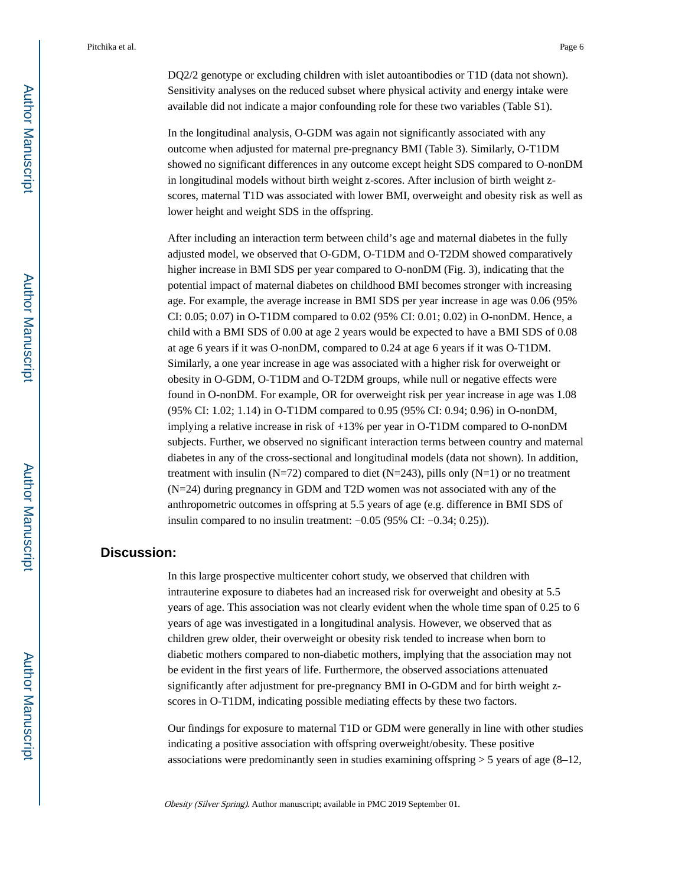DQ2/2 genotype or excluding children with islet autoantibodies or T1D (data not shown). Sensitivity analyses on the reduced subset where physical activity and energy intake were available did not indicate a major confounding role for these two variables (Table S1).

In the longitudinal analysis, O-GDM was again not significantly associated with any outcome when adjusted for maternal pre-pregnancy BMI (Table 3). Similarly, O-T1DM showed no significant differences in any outcome except height SDS compared to O-nonDM in longitudinal models without birth weight z-scores. After inclusion of birth weight zscores, maternal T1D was associated with lower BMI, overweight and obesity risk as well as lower height and weight SDS in the offspring.

After including an interaction term between child's age and maternal diabetes in the fully adjusted model, we observed that O-GDM, O-T1DM and O-T2DM showed comparatively higher increase in BMI SDS per year compared to O-nonDM (Fig. 3), indicating that the potential impact of maternal diabetes on childhood BMI becomes stronger with increasing age. For example, the average increase in BMI SDS per year increase in age was 0.06 (95% CI: 0.05; 0.07) in O-T1DM compared to 0.02 (95% CI: 0.01; 0.02) in O-nonDM. Hence, a child with a BMI SDS of 0.00 at age 2 years would be expected to have a BMI SDS of 0.08 at age 6 years if it was O-nonDM, compared to 0.24 at age 6 years if it was O-T1DM. Similarly, a one year increase in age was associated with a higher risk for overweight or obesity in O-GDM, O-T1DM and O-T2DM groups, while null or negative effects were found in O-nonDM. For example, OR for overweight risk per year increase in age was 1.08 (95% CI: 1.02; 1.14) in O-T1DM compared to 0.95 (95% CI: 0.94; 0.96) in O-nonDM, implying a relative increase in risk of +13% per year in O-T1DM compared to O-nonDM subjects. Further, we observed no significant interaction terms between country and maternal diabetes in any of the cross-sectional and longitudinal models (data not shown). In addition, treatment with insulin (N=72) compared to diet (N=243), pills only (N=1) or no treatment (N=24) during pregnancy in GDM and T2D women was not associated with any of the anthropometric outcomes in offspring at 5.5 years of age (e.g. difference in BMI SDS of insulin compared to no insulin treatment: −0.05 (95% CI: −0.34; 0.25)).

#### **Discussion:**

In this large prospective multicenter cohort study, we observed that children with intrauterine exposure to diabetes had an increased risk for overweight and obesity at 5.5 years of age. This association was not clearly evident when the whole time span of 0.25 to 6 years of age was investigated in a longitudinal analysis. However, we observed that as children grew older, their overweight or obesity risk tended to increase when born to diabetic mothers compared to non-diabetic mothers, implying that the association may not be evident in the first years of life. Furthermore, the observed associations attenuated significantly after adjustment for pre-pregnancy BMI in O-GDM and for birth weight zscores in O-T1DM, indicating possible mediating effects by these two factors.

Our findings for exposure to maternal T1D or GDM were generally in line with other studies indicating a positive association with offspring overweight/obesity. These positive associations were predominantly seen in studies examining offspring  $>$  5 years of age (8–12,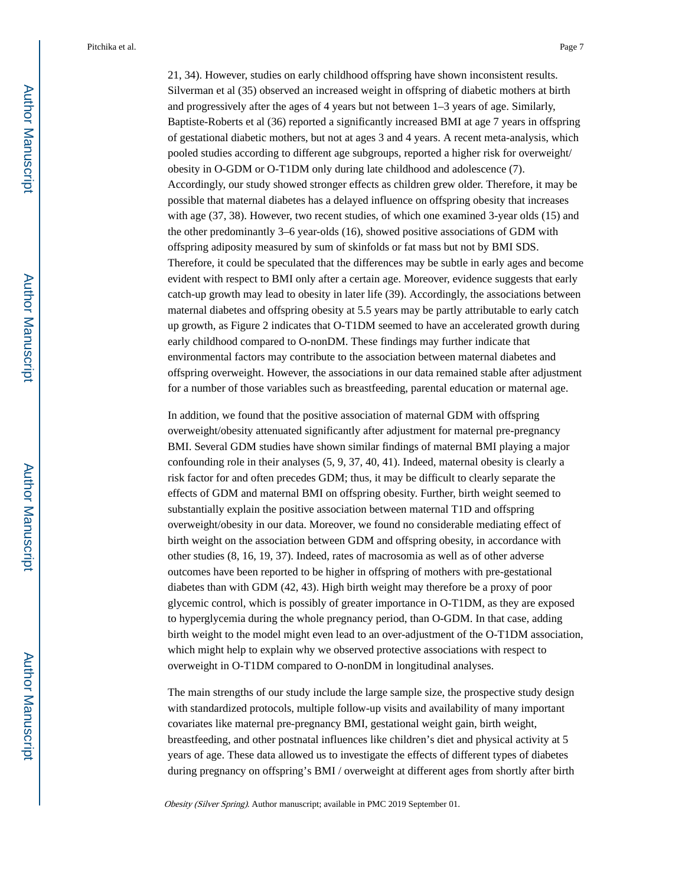21, 34). However, studies on early childhood offspring have shown inconsistent results. Silverman et al (35) observed an increased weight in offspring of diabetic mothers at birth and progressively after the ages of 4 years but not between 1–3 years of age. Similarly, Baptiste-Roberts et al (36) reported a significantly increased BMI at age 7 years in offspring of gestational diabetic mothers, but not at ages 3 and 4 years. A recent meta-analysis, which pooled studies according to different age subgroups, reported a higher risk for overweight/ obesity in O-GDM or O-T1DM only during late childhood and adolescence (7). Accordingly, our study showed stronger effects as children grew older. Therefore, it may be possible that maternal diabetes has a delayed influence on offspring obesity that increases with age (37, 38). However, two recent studies, of which one examined 3-year olds (15) and the other predominantly 3–6 year-olds (16), showed positive associations of GDM with offspring adiposity measured by sum of skinfolds or fat mass but not by BMI SDS. Therefore, it could be speculated that the differences may be subtle in early ages and become evident with respect to BMI only after a certain age. Moreover, evidence suggests that early catch-up growth may lead to obesity in later life (39). Accordingly, the associations between maternal diabetes and offspring obesity at 5.5 years may be partly attributable to early catch up growth, as Figure 2 indicates that O-T1DM seemed to have an accelerated growth during early childhood compared to O-nonDM. These findings may further indicate that environmental factors may contribute to the association between maternal diabetes and offspring overweight. However, the associations in our data remained stable after adjustment for a number of those variables such as breastfeeding, parental education or maternal age.

In addition, we found that the positive association of maternal GDM with offspring overweight/obesity attenuated significantly after adjustment for maternal pre-pregnancy BMI. Several GDM studies have shown similar findings of maternal BMI playing a major confounding role in their analyses (5, 9, 37, 40, 41). Indeed, maternal obesity is clearly a risk factor for and often precedes GDM; thus, it may be difficult to clearly separate the effects of GDM and maternal BMI on offspring obesity. Further, birth weight seemed to substantially explain the positive association between maternal T1D and offspring overweight/obesity in our data. Moreover, we found no considerable mediating effect of birth weight on the association between GDM and offspring obesity, in accordance with other studies (8, 16, 19, 37). Indeed, rates of macrosomia as well as of other adverse outcomes have been reported to be higher in offspring of mothers with pre-gestational diabetes than with GDM (42, 43). High birth weight may therefore be a proxy of poor glycemic control, which is possibly of greater importance in O-T1DM, as they are exposed to hyperglycemia during the whole pregnancy period, than O-GDM. In that case, adding birth weight to the model might even lead to an over-adjustment of the O-T1DM association, which might help to explain why we observed protective associations with respect to overweight in O-T1DM compared to O-nonDM in longitudinal analyses.

The main strengths of our study include the large sample size, the prospective study design with standardized protocols, multiple follow-up visits and availability of many important covariates like maternal pre-pregnancy BMI, gestational weight gain, birth weight, breastfeeding, and other postnatal influences like children's diet and physical activity at 5 years of age. These data allowed us to investigate the effects of different types of diabetes during pregnancy on offspring's BMI / overweight at different ages from shortly after birth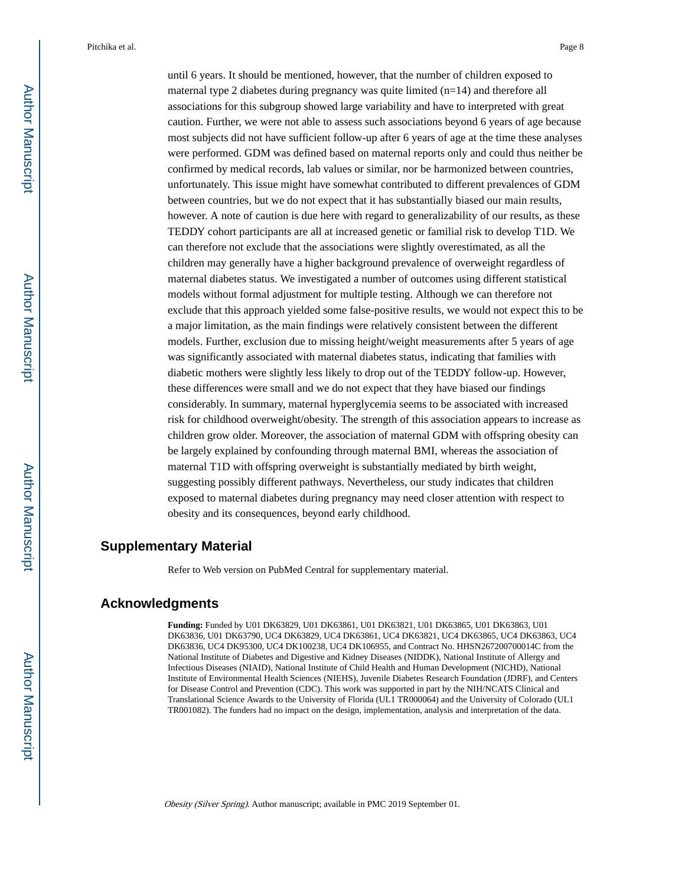until 6 years. It should be mentioned, however, that the number of children exposed to maternal type 2 diabetes during pregnancy was quite limited (n=14) and therefore all associations for this subgroup showed large variability and have to interpreted with great caution. Further, we were not able to assess such associations beyond 6 years of age because most subjects did not have sufficient follow-up after 6 years of age at the time these analyses were performed. GDM was defined based on maternal reports only and could thus neither be confirmed by medical records, lab values or similar, nor be harmonized between countries, unfortunately. This issue might have somewhat contributed to different prevalences of GDM between countries, but we do not expect that it has substantially biased our main results, however. A note of caution is due here with regard to generalizability of our results, as these TEDDY cohort participants are all at increased genetic or familial risk to develop T1D. We can therefore not exclude that the associations were slightly overestimated, as all the children may generally have a higher background prevalence of overweight regardless of maternal diabetes status. We investigated a number of outcomes using different statistical models without formal adjustment for multiple testing. Although we can therefore not exclude that this approach yielded some false-positive results, we would not expect this to be a major limitation, as the main findings were relatively consistent between the different models. Further, exclusion due to missing height/weight measurements after 5 years of age was significantly associated with maternal diabetes status, indicating that families with diabetic mothers were slightly less likely to drop out of the TEDDY follow-up. However, these differences were small and we do not expect that they have biased our findings considerably. In summary, maternal hyperglycemia seems to be associated with increased risk for childhood overweight/obesity. The strength of this association appears to increase as children grow older. Moreover, the association of maternal GDM with offspring obesity can be largely explained by confounding through maternal BMI, whereas the association of maternal T1D with offspring overweight is substantially mediated by birth weight, suggesting possibly different pathways. Nevertheless, our study indicates that children exposed to maternal diabetes during pregnancy may need closer attention with respect to obesity and its consequences, beyond early childhood.

#### **Supplementary Material**

Refer to Web version on PubMed Central for supplementary material.

#### **Acknowledgments**

**Funding:** Funded by U01 DK63829, U01 DK63861, U01 DK63821, U01 DK63865, U01 DK63863, U01 DK63836, U01 DK63790, UC4 DK63829, UC4 DK63861, UC4 DK63821, UC4 DK63865, UC4 DK63863, UC4 DK63836, UC4 DK95300, UC4 DK100238, UC4 DK106955, and Contract No. HHSN267200700014C from the National Institute of Diabetes and Digestive and Kidney Diseases (NIDDK), National Institute of Allergy and Infectious Diseases (NIAID), National Institute of Child Health and Human Development (NICHD), National Institute of Environmental Health Sciences (NIEHS), Juvenile Diabetes Research Foundation (JDRF), and Centers for Disease Control and Prevention (CDC). This work was supported in part by the NIH/NCATS Clinical and Translational Science Awards to the University of Florida (UL1 TR000064) and the University of Colorado (UL1 TR001082). The funders had no impact on the design, implementation, analysis and interpretation of the data.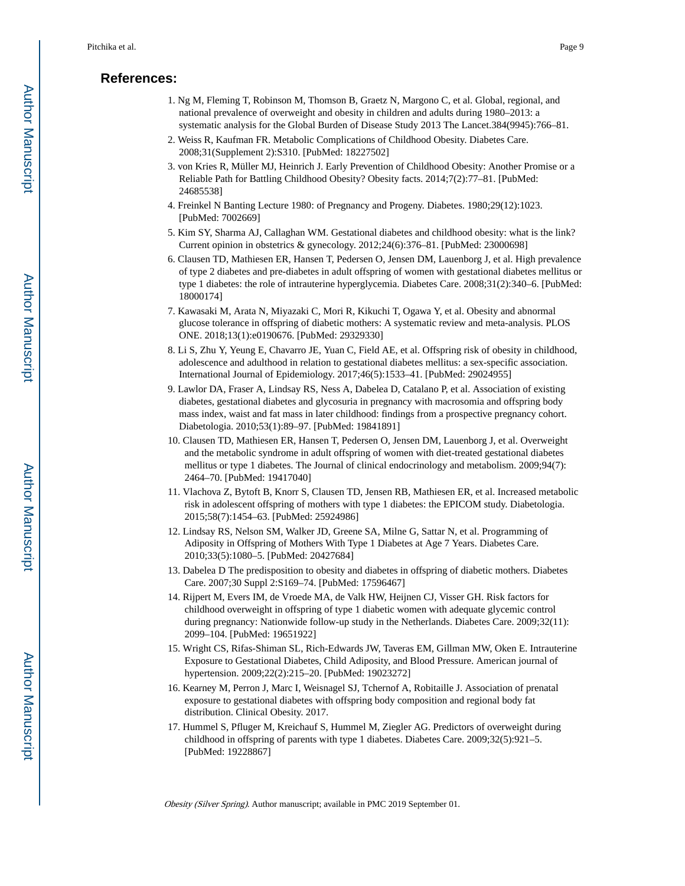#### **References:**

- 1. Ng M, Fleming T, Robinson M, Thomson B, Graetz N, Margono C, et al. Global, regional, and national prevalence of overweight and obesity in children and adults during 1980–2013: a systematic analysis for the Global Burden of Disease Study 2013 The Lancet.384(9945):766–81.
- 2. Weiss R, Kaufman FR. Metabolic Complications of Childhood Obesity. Diabetes Care. 2008;31(Supplement 2):S310. [PubMed: 18227502]
- 3. von Kries R, Müller MJ, Heinrich J. Early Prevention of Childhood Obesity: Another Promise or a Reliable Path for Battling Childhood Obesity? Obesity facts. 2014;7(2):77–81. [PubMed: 24685538]
- 4. Freinkel N Banting Lecture 1980: of Pregnancy and Progeny. Diabetes. 1980;29(12):1023. [PubMed: 7002669]
- 5. Kim SY, Sharma AJ, Callaghan WM. Gestational diabetes and childhood obesity: what is the link? Current opinion in obstetrics & gynecology. 2012;24(6):376–81. [PubMed: 23000698]
- 6. Clausen TD, Mathiesen ER, Hansen T, Pedersen O, Jensen DM, Lauenborg J, et al. High prevalence of type 2 diabetes and pre-diabetes in adult offspring of women with gestational diabetes mellitus or type 1 diabetes: the role of intrauterine hyperglycemia. Diabetes Care. 2008;31(2):340–6. [PubMed: 18000174]
- 7. Kawasaki M, Arata N, Miyazaki C, Mori R, Kikuchi T, Ogawa Y, et al. Obesity and abnormal glucose tolerance in offspring of diabetic mothers: A systematic review and meta-analysis. PLOS ONE. 2018;13(1):e0190676. [PubMed: 29329330]
- 8. Li S, Zhu Y, Yeung E, Chavarro JE, Yuan C, Field AE, et al. Offspring risk of obesity in childhood, adolescence and adulthood in relation to gestational diabetes mellitus: a sex-specific association. International Journal of Epidemiology. 2017;46(5):1533–41. [PubMed: 29024955]
- 9. Lawlor DA, Fraser A, Lindsay RS, Ness A, Dabelea D, Catalano P, et al. Association of existing diabetes, gestational diabetes and glycosuria in pregnancy with macrosomia and offspring body mass index, waist and fat mass in later childhood: findings from a prospective pregnancy cohort. Diabetologia. 2010;53(1):89–97. [PubMed: 19841891]
- 10. Clausen TD, Mathiesen ER, Hansen T, Pedersen O, Jensen DM, Lauenborg J, et al. Overweight and the metabolic syndrome in adult offspring of women with diet-treated gestational diabetes mellitus or type 1 diabetes. The Journal of clinical endocrinology and metabolism. 2009;94(7): 2464–70. [PubMed: 19417040]
- 11. Vlachova Z, Bytoft B, Knorr S, Clausen TD, Jensen RB, Mathiesen ER, et al. Increased metabolic risk in adolescent offspring of mothers with type 1 diabetes: the EPICOM study. Diabetologia. 2015;58(7):1454–63. [PubMed: 25924986]
- 12. Lindsay RS, Nelson SM, Walker JD, Greene SA, Milne G, Sattar N, et al. Programming of Adiposity in Offspring of Mothers With Type 1 Diabetes at Age 7 Years. Diabetes Care. 2010;33(5):1080–5. [PubMed: 20427684]
- 13. Dabelea D The predisposition to obesity and diabetes in offspring of diabetic mothers. Diabetes Care. 2007;30 Suppl 2:S169–74. [PubMed: 17596467]
- 14. Rijpert M, Evers IM, de Vroede MA, de Valk HW, Heijnen CJ, Visser GH. Risk factors for childhood overweight in offspring of type 1 diabetic women with adequate glycemic control during pregnancy: Nationwide follow-up study in the Netherlands. Diabetes Care. 2009;32(11): 2099–104. [PubMed: 19651922]
- 15. Wright CS, Rifas-Shiman SL, Rich-Edwards JW, Taveras EM, Gillman MW, Oken E. Intrauterine Exposure to Gestational Diabetes, Child Adiposity, and Blood Pressure. American journal of hypertension. 2009;22(2):215–20. [PubMed: 19023272]
- 16. Kearney M, Perron J, Marc I, Weisnagel SJ, Tchernof A, Robitaille J. Association of prenatal exposure to gestational diabetes with offspring body composition and regional body fat distribution. Clinical Obesity. 2017.
- 17. Hummel S, Pfluger M, Kreichauf S, Hummel M, Ziegler AG. Predictors of overweight during childhood in offspring of parents with type 1 diabetes. Diabetes Care. 2009;32(5):921–5. [PubMed: 19228867]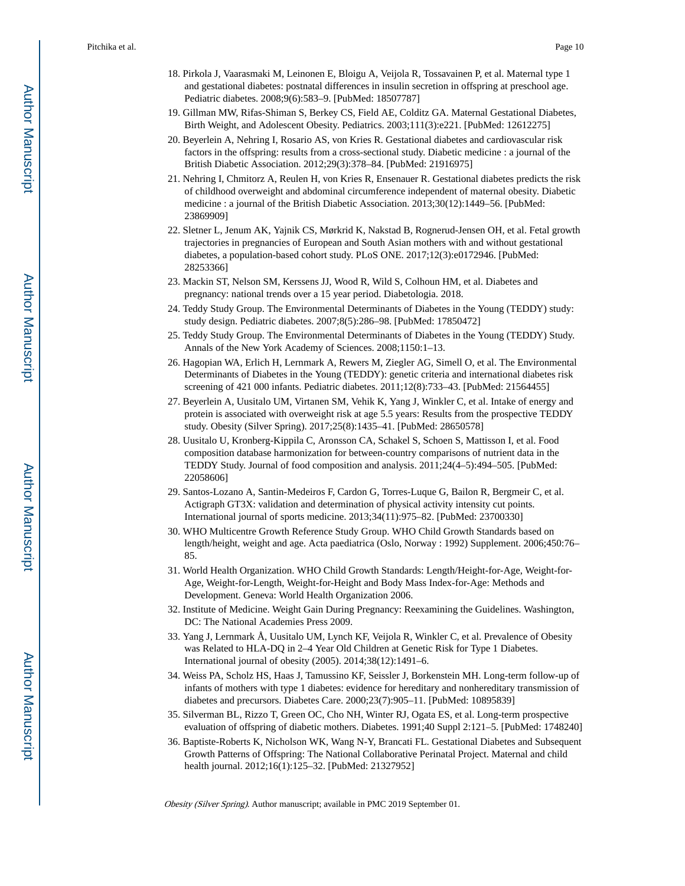- 18. Pirkola J, Vaarasmaki M, Leinonen E, Bloigu A, Veijola R, Tossavainen P, et al. Maternal type 1 and gestational diabetes: postnatal differences in insulin secretion in offspring at preschool age. Pediatric diabetes. 2008;9(6):583–9. [PubMed: 18507787]
- 19. Gillman MW, Rifas-Shiman S, Berkey CS, Field AE, Colditz GA. Maternal Gestational Diabetes, Birth Weight, and Adolescent Obesity. Pediatrics. 2003;111(3):e221. [PubMed: 12612275]
- 20. Beyerlein A, Nehring I, Rosario AS, von Kries R. Gestational diabetes and cardiovascular risk factors in the offspring: results from a cross-sectional study. Diabetic medicine : a journal of the British Diabetic Association. 2012;29(3):378–84. [PubMed: 21916975]
- 21. Nehring I, Chmitorz A, Reulen H, von Kries R, Ensenauer R. Gestational diabetes predicts the risk of childhood overweight and abdominal circumference independent of maternal obesity. Diabetic medicine : a journal of the British Diabetic Association. 2013;30(12):1449–56. [PubMed: 23869909]
- 22. Sletner L, Jenum AK, Yajnik CS, Mørkrid K, Nakstad B, Rognerud-Jensen OH, et al. Fetal growth trajectories in pregnancies of European and South Asian mothers with and without gestational diabetes, a population-based cohort study. PLoS ONE. 2017;12(3):e0172946. [PubMed: 28253366]
- 23. Mackin ST, Nelson SM, Kerssens JJ, Wood R, Wild S, Colhoun HM, et al. Diabetes and pregnancy: national trends over a 15 year period. Diabetologia. 2018.
- 24. Teddy Study Group. The Environmental Determinants of Diabetes in the Young (TEDDY) study: study design. Pediatric diabetes. 2007;8(5):286–98. [PubMed: 17850472]
- 25. Teddy Study Group. The Environmental Determinants of Diabetes in the Young (TEDDY) Study. Annals of the New York Academy of Sciences. 2008;1150:1–13.
- 26. Hagopian WA, Erlich H, Lernmark A, Rewers M, Ziegler AG, Simell O, et al. The Environmental Determinants of Diabetes in the Young (TEDDY): genetic criteria and international diabetes risk screening of 421 000 infants. Pediatric diabetes. 2011;12(8):733–43. [PubMed: 21564455]
- 27. Beyerlein A, Uusitalo UM, Virtanen SM, Vehik K, Yang J, Winkler C, et al. Intake of energy and protein is associated with overweight risk at age 5.5 years: Results from the prospective TEDDY study. Obesity (Silver Spring). 2017;25(8):1435–41. [PubMed: 28650578]
- 28. Uusitalo U, Kronberg-Kippila C, Aronsson CA, Schakel S, Schoen S, Mattisson I, et al. Food composition database harmonization for between-country comparisons of nutrient data in the TEDDY Study. Journal of food composition and analysis. 2011;24(4–5):494–505. [PubMed: 22058606]
- 29. Santos-Lozano A, Santin-Medeiros F, Cardon G, Torres-Luque G, Bailon R, Bergmeir C, et al. Actigraph GT3X: validation and determination of physical activity intensity cut points. International journal of sports medicine. 2013;34(11):975–82. [PubMed: 23700330]
- 30. WHO Multicentre Growth Reference Study Group. WHO Child Growth Standards based on length/height, weight and age. Acta paediatrica (Oslo, Norway : 1992) Supplement. 2006;450:76– 85.
- 31. World Health Organization. WHO Child Growth Standards: Length/Height-for-Age, Weight-for-Age, Weight-for-Length, Weight-for-Height and Body Mass Index-for-Age: Methods and Development. Geneva: World Health Organization 2006.
- 32. Institute of Medicine. Weight Gain During Pregnancy: Reexamining the Guidelines. Washington, DC: The National Academies Press 2009.
- 33. Yang J, Lernmark Å, Uusitalo UM, Lynch KF, Veijola R, Winkler C, et al. Prevalence of Obesity was Related to HLA-DQ in 2–4 Year Old Children at Genetic Risk for Type 1 Diabetes. International journal of obesity (2005). 2014;38(12):1491–6.
- 34. Weiss PA, Scholz HS, Haas J, Tamussino KF, Seissler J, Borkenstein MH. Long-term follow-up of infants of mothers with type 1 diabetes: evidence for hereditary and nonhereditary transmission of diabetes and precursors. Diabetes Care. 2000;23(7):905–11. [PubMed: 10895839]
- 35. Silverman BL, Rizzo T, Green OC, Cho NH, Winter RJ, Ogata ES, et al. Long-term prospective evaluation of offspring of diabetic mothers. Diabetes. 1991;40 Suppl 2:121–5. [PubMed: 1748240]
- 36. Baptiste-Roberts K, Nicholson WK, Wang N-Y, Brancati FL. Gestational Diabetes and Subsequent Growth Patterns of Offspring: The National Collaborative Perinatal Project. Maternal and child health journal. 2012;16(1):125–32. [PubMed: 21327952]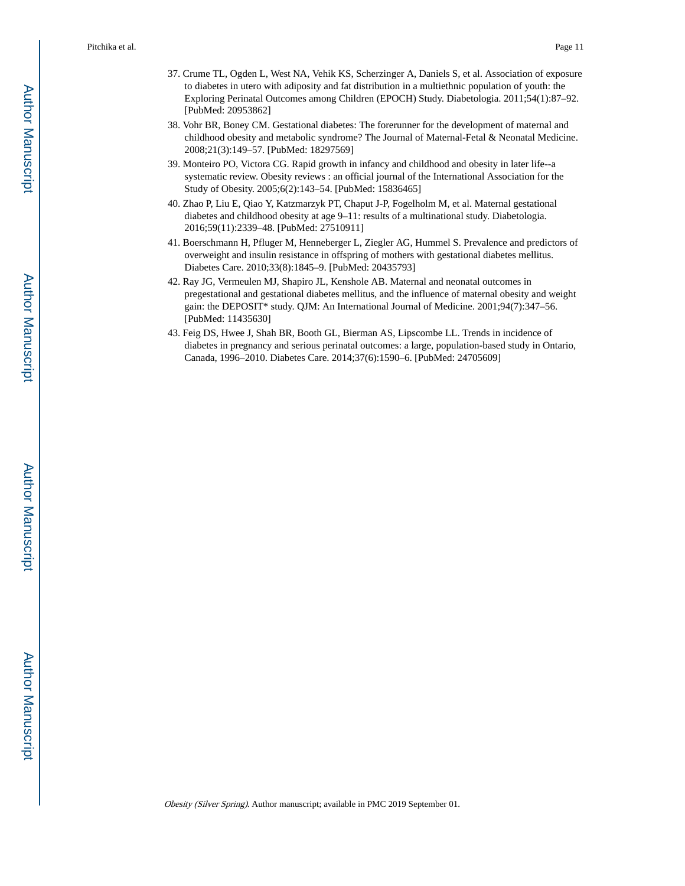- 37. Crume TL, Ogden L, West NA, Vehik KS, Scherzinger A, Daniels S, et al. Association of exposure to diabetes in utero with adiposity and fat distribution in a multiethnic population of youth: the Exploring Perinatal Outcomes among Children (EPOCH) Study. Diabetologia. 2011;54(1):87–92. [PubMed: 20953862]
- 38. Vohr BR, Boney CM. Gestational diabetes: The forerunner for the development of maternal and childhood obesity and metabolic syndrome? The Journal of Maternal-Fetal & Neonatal Medicine. 2008;21(3):149–57. [PubMed: 18297569]
- 39. Monteiro PO, Victora CG. Rapid growth in infancy and childhood and obesity in later life--a systematic review. Obesity reviews : an official journal of the International Association for the Study of Obesity. 2005;6(2):143–54. [PubMed: 15836465]
- 40. Zhao P, Liu E, Qiao Y, Katzmarzyk PT, Chaput J-P, Fogelholm M, et al. Maternal gestational diabetes and childhood obesity at age 9–11: results of a multinational study. Diabetologia. 2016;59(11):2339–48. [PubMed: 27510911]
- 41. Boerschmann H, Pfluger M, Henneberger L, Ziegler AG, Hummel S. Prevalence and predictors of overweight and insulin resistance in offspring of mothers with gestational diabetes mellitus. Diabetes Care. 2010;33(8):1845–9. [PubMed: 20435793]
- 42. Ray JG, Vermeulen MJ, Shapiro JL, Kenshole AB. Maternal and neonatal outcomes in pregestational and gestational diabetes mellitus, and the influence of maternal obesity and weight gain: the DEPOSIT\* study. QJM: An International Journal of Medicine. 2001;94(7):347–56. [PubMed: 11435630]
- 43. Feig DS, Hwee J, Shah BR, Booth GL, Bierman AS, Lipscombe LL. Trends in incidence of diabetes in pregnancy and serious perinatal outcomes: a large, population-based study in Ontario, Canada, 1996–2010. Diabetes Care. 2014;37(6):1590–6. [PubMed: 24705609]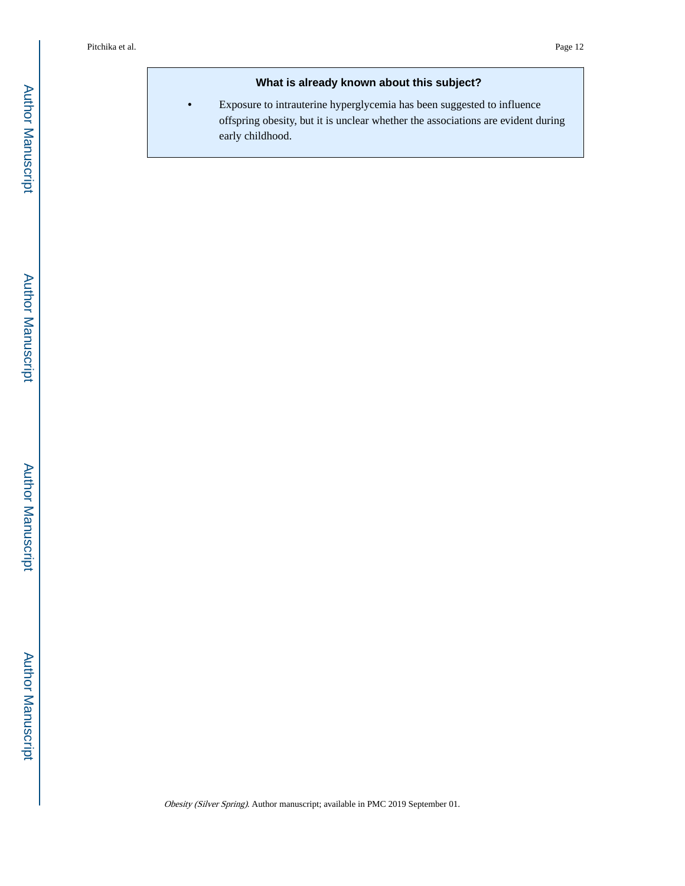#### **What is already known about this subject?**

**•** Exposure to intrauterine hyperglycemia has been suggested to influence offspring obesity, but it is unclear whether the associations are evident during early childhood.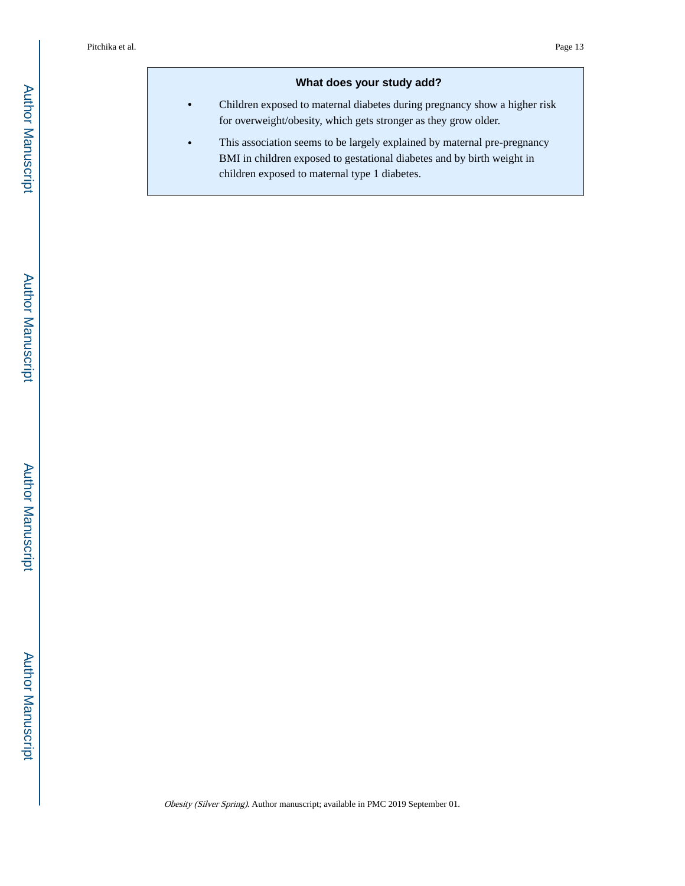#### **What does your study add?**

- **•** Children exposed to maternal diabetes during pregnancy show a higher risk for overweight/obesity, which gets stronger as they grow older.
- **•** This association seems to be largely explained by maternal pre-pregnancy BMI in children exposed to gestational diabetes and by birth weight in children exposed to maternal type 1 diabetes.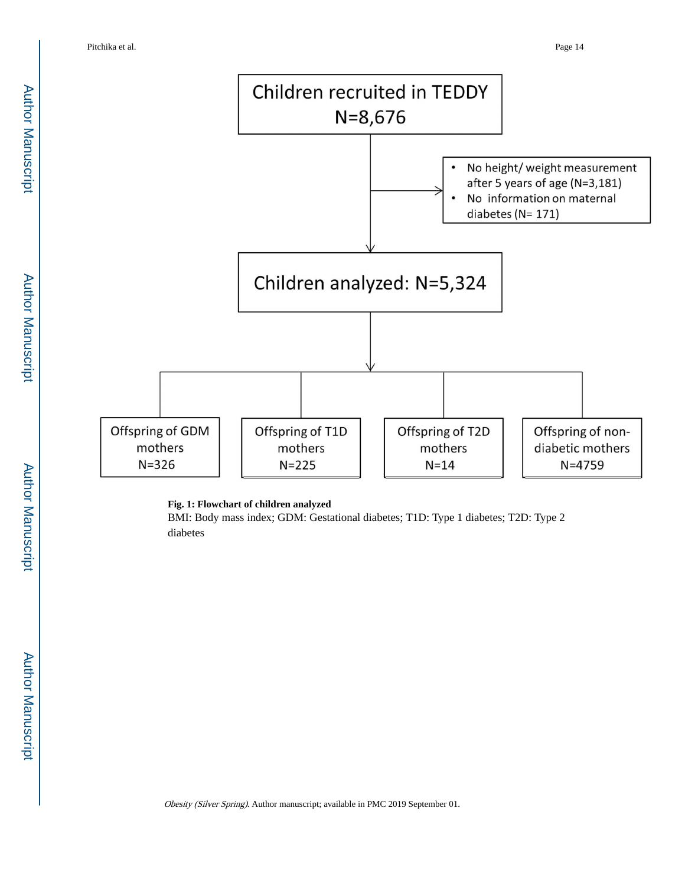

#### **Fig. 1: Flowchart of children analyzed**

BMI: Body mass index; GDM: Gestational diabetes; T1D: Type 1 diabetes; T2D: Type 2 diabetes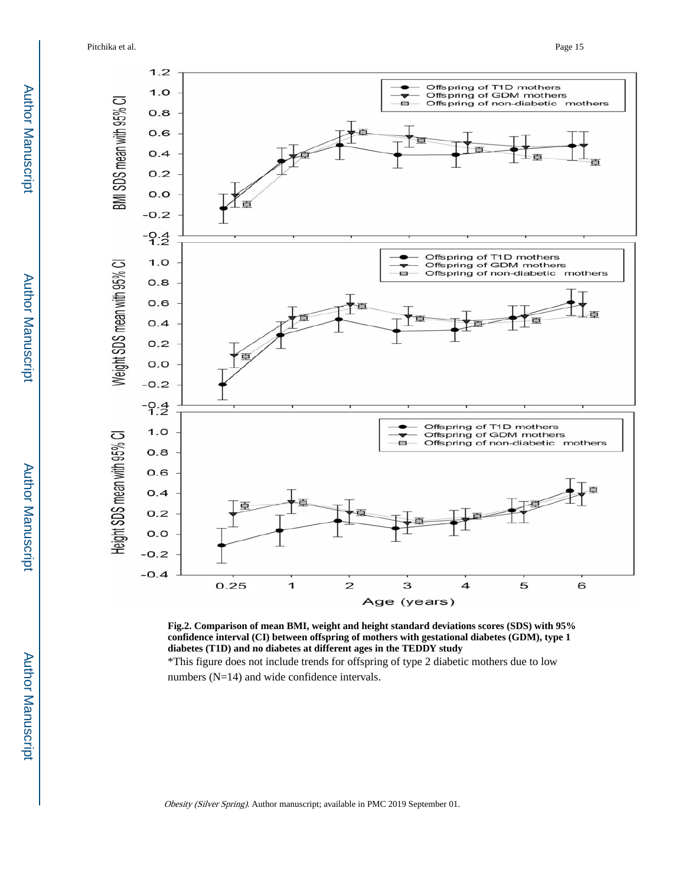Pitchika et al. Page 15



**Fig.2. Comparison of mean BMI, weight and height standard deviations scores (SDS) with 95% confidence interval (CI) between offspring of mothers with gestational diabetes (GDM), type 1 diabetes (T1D) and no diabetes at different ages in the TEDDY study**

\*This figure does not include trends for offspring of type 2 diabetic mothers due to low numbers (N=14) and wide confidence intervals.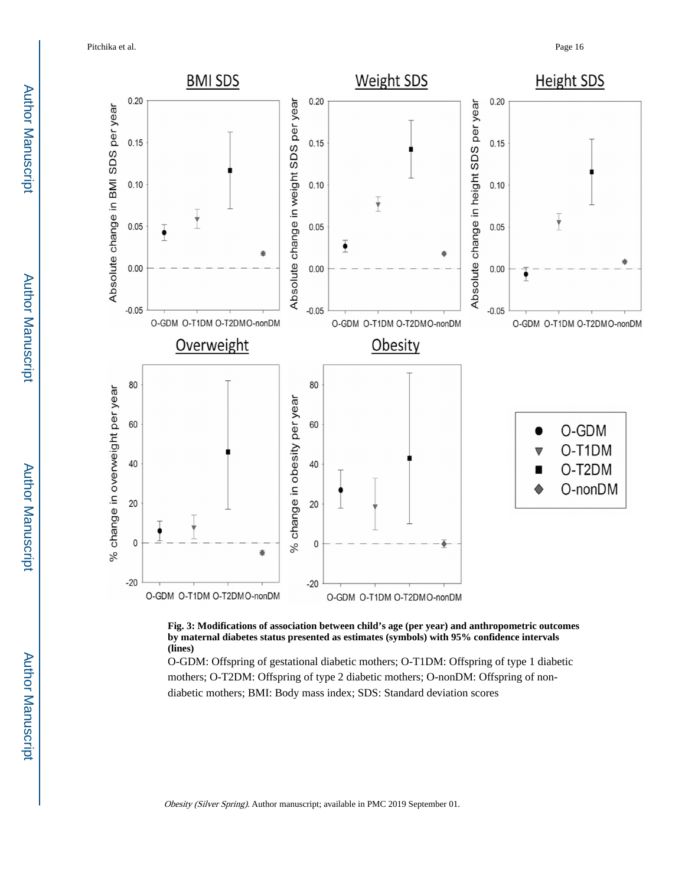Pitchika et al. Page 16



**Fig. 3: Modifications of association between child's age (per year) and anthropometric outcomes by maternal diabetes status presented as estimates (symbols) with 95% confidence intervals (lines)**

O-GDM: Offspring of gestational diabetic mothers; O-T1DM: Offspring of type 1 diabetic mothers; O-T2DM: Offspring of type 2 diabetic mothers; O-nonDM: Offspring of nondiabetic mothers; BMI: Body mass index; SDS: Standard deviation scores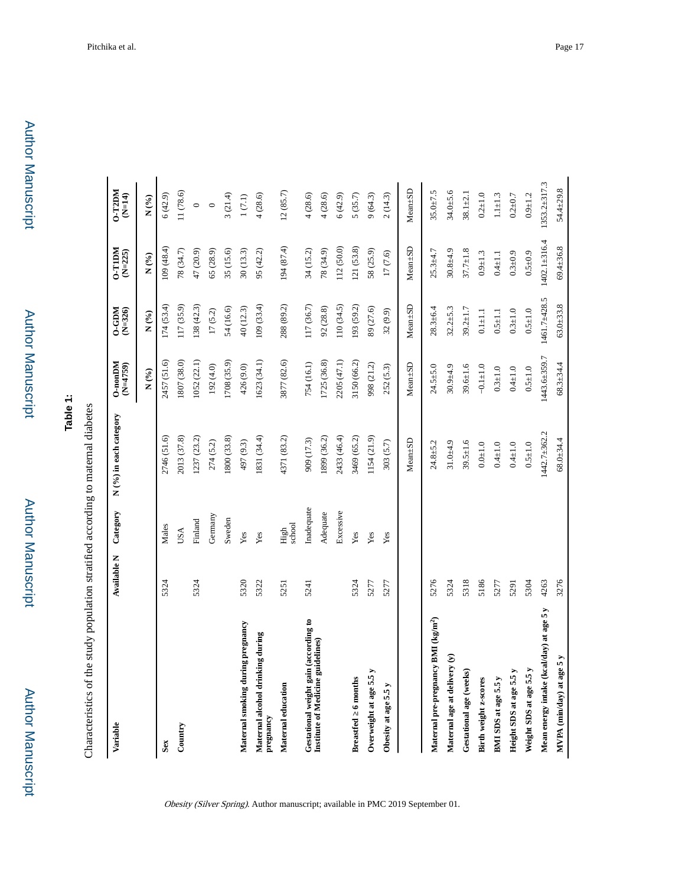Author Manuscript

Author Manuscript

**Table 1:**

Characteristics of the study population stratified according to maternal diabetes Characteristics of the study population stratified according to maternal diabetes

| Variable                                                                   | <b>Available N</b> | Category       | N (%) in each category       | $0$ -non $DM$<br>$(N=4759)$ | $MGP-0$<br>$(N=326)$ | <b>MULL-0</b><br>$(N=225)$ | $0 - T2DM$<br>$(N=14)$ |
|----------------------------------------------------------------------------|--------------------|----------------|------------------------------|-----------------------------|----------------------|----------------------------|------------------------|
|                                                                            |                    |                |                              | N(%)                        | $N($ % $)$           | $N($ % $)$                 | $N($ % $)$             |
| Sex                                                                        | 5324               | Males          | 2746 (51.6)                  | 2457 (51.6)                 | 174(53.4)            | 109(48.4)                  | 6(42.9)                |
| Country                                                                    |                    | USA            | 2013 (37.8)                  | 1807 (38.0)                 | 117(35.9)            | 78 (34.7)                  | 11(78.6)               |
|                                                                            | 5324               | Finland        | 1237 (23.2)                  | 1052 (22.1)                 | 138(42.3)            | 47 (20.9)                  | $\circ$                |
|                                                                            |                    | Germany        | 274 (5.2)                    | 192 (4.0)                   | 17(5.2)              | (28.9)                     | $\circ$                |
|                                                                            |                    | Sweden         | 800 (33.8)                   | 1708 (35.9)                 | 54 (16.6)            | 35 (15.6)                  | 3(21.4)                |
| Maternal smoking during pregnancy                                          | 5320               | Yes            | 497 (9.3)                    | 426 (9.0)                   | 40 (12.3)            | 30(13.3)                   | $1(7.1)$               |
| Maternal alcohol drinking during<br>pregnancy                              | 5322               | Yes            | 1831 (34.4)                  | 1623 (34.1)                 | 109(33.4)            | 95 (42.2)                  | 4(28.6)                |
| Maternal education                                                         | 5251               | school<br>High | 4371 (83.2)                  | 3877 (82.6)                 | 288 (89.2)           | 194 (87.4)                 | 12(85.7)               |
| Gestational weight gain (according to<br>Institute of Medicine guidelines) | 5241               | Inadequate     | 909 (17.3)                   | 754 (16.1)                  | 117 (36.7)           | 34 (15.2)                  | 4(28.6)                |
|                                                                            |                    | Adequate       | 1899 (36.2)                  | 1725 (36.8)                 | 92(28.8)             | 78 (34.9)                  | 4(28.6)                |
|                                                                            |                    | Excessive      | 2433 (46.4)                  | 2205 (47.1)                 | 110(34.5)            | 112(50.0)                  | 6(42.9)                |
| <b>Breastfed</b> 6 months                                                  | 5324               | Yes            | 3469 (65.2)                  | 3150 (66.2)                 | 193 (59.2)           | 121(53.8)                  | 5(35.7)                |
| Overweight at age 5.5                                                      | 5277               | Yes            | 1154 (21.9)                  | 998 (21.2)                  | 89 (27.6)            | 58 (25.9)                  | 9(64.3)                |
| Obesity at age 5.5 y                                                       | 5277               | Yes            | 303 (5.7)                    | 252 (5.3)                   | 32 (9.9)             | 17 (7.6)                   | 2(14.3)                |
|                                                                            |                    |                | Mean <sup>+SD</sup>          | $Mean \pm SD$               | $Mean + SD$          | $Mean \pm SD$              | Mean <sup>+</sup> SD   |
| Maternal pre-pregnancy BMI (kg/m <sup>2</sup> )                            | 5276               |                | $24.8 + 5.2$                 | $24.5 + 5.0$                | $28.3 + 6.4$         | $25.3 + 4.7$               | $35.0 + 7.5$           |
| Maternal age at delivery (y)                                               | 5324               |                | $31.0 + 4.9$                 | $30.9 + 4.9$                | $32.2 + 5.3$         | $30.8 + 4.9$               | $34.0 + 5.6$           |
| Gestational age (weeks)                                                    | 5318               |                | $39.5 \pm 1.6$               | $39.6 \pm 1.6$              | $39.2 \pm 1.7$       | $37.7 \pm 1.8$             | $38.1 \pm 2.1$         |
| Birth weight z-scores                                                      | 5186               |                | $0.0\textcolor{red}{\pm1.0}$ | $-0.1 + 1.0$                | $0.1 + 1.1$          | $0.9 + 1.3$                | $0.2 + 1.0$            |
| BMI SDS at age 5.5 y                                                       | 5277               |                | $0.4 + 1.0$                  | $0.3 + 1.0$                 | $0.5 \pm 1.1$        | $0.4 + 1.1$                | $1.1 + 1.3$            |
| Height SDS at age 5.5 y                                                    | 5291               |                | $0.4 + 1.0$                  | $0.4 + 1.0$                 | $0.3 + 1.0$          | $0.3 + 0.9$                | $0.2 + 0.7$            |
| Weight SDS at age 5.5 y                                                    | 5304               |                | $0.5 + 1.0$                  | $0.5 + 1.0$                 | $0.5 + 1.0$          | $0.5 + 0.9$                | $0.9 + 1.2$            |
| Mean energy intake (kcal/day) at age 5 y                                   | 4263               |                | 1442.7±362.2                 | 1443.6±359.7                | 1461.7±428.5         | $1402.1 + 316.4$           | 1353.2±317.3           |
| MVPA (min/day) at age 5 y                                                  | 3276               |                | $68.0 + 34.4$                | $68.3 + 34.4$               | $63.0 + 33.8$        | 69.4±36.8                  | $54.4 + 29.8$          |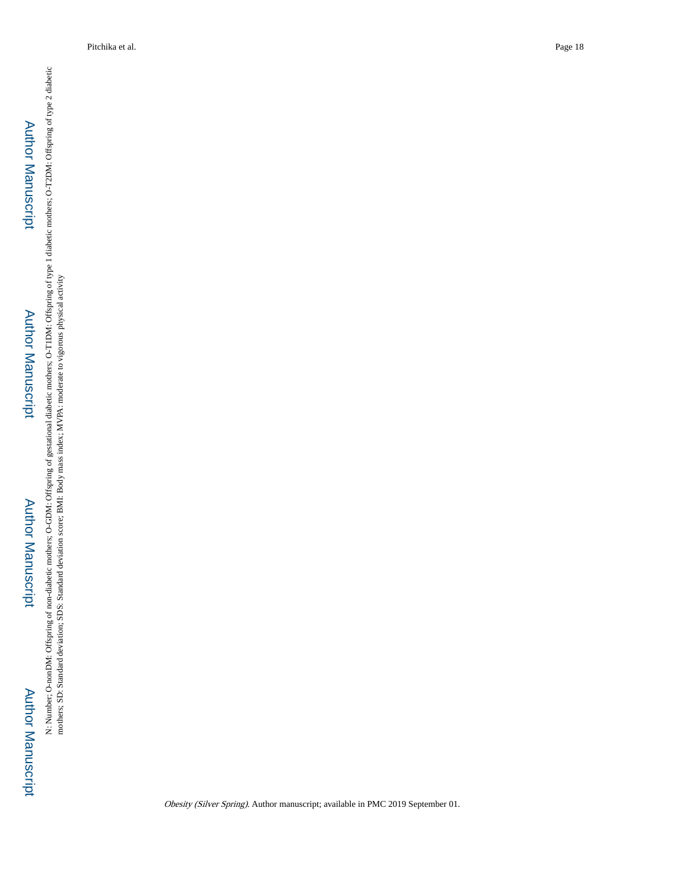# Author Manuscript**Author Manuscript**

# Author Manuscript**Author Manuscript**

## Author Manuscript Author Manuscript

N: Number, O-nonDM: Offspring of non-diabetic mothers; O-GDM: Offspring of gestational diabetic mothers; O-T1DM: Offspring of type 1 diabetic mothers; O-T2DM: Offspring of type 2 diabetic<br>mothers; SD: Standard deviation; S N: Number; O-nonDM: Offspring of non-diabetic mothers; O-GDM: Offspring of gestational diabetic mothers; of type 1 diabetic mothers; O-T2DM: Offspring of type 2 diabetic mothers; SD: Standard deviation; SDS: Standard deviation score; BMI: Body mass index; MVPA: moderate to vigorous physical activity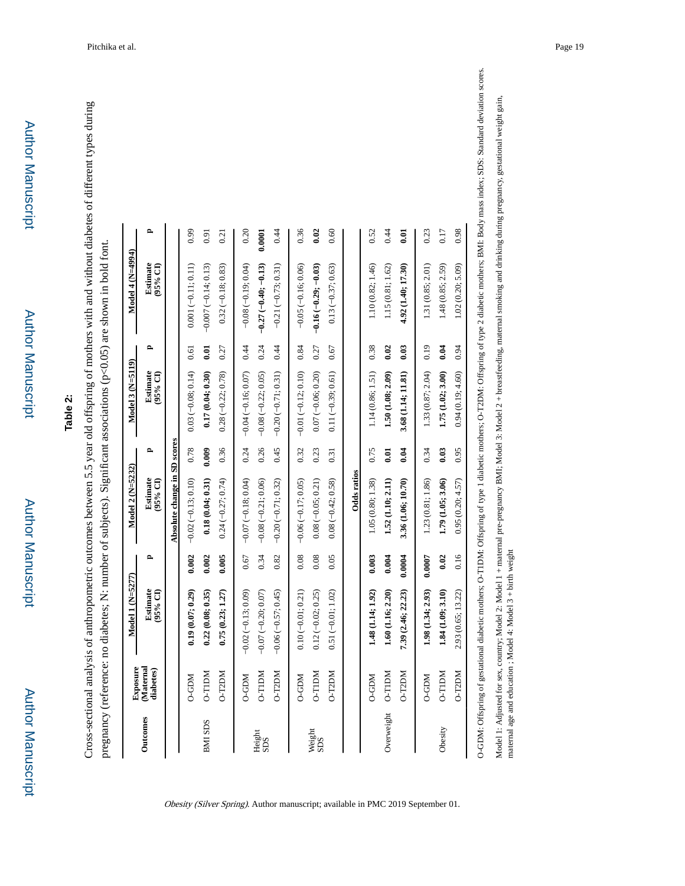| ۰ |
|---|
|   |
|   |
|   |
|   |
|   |
| ī |
|   |
|   |
|   |
|   |
|   |
|   |
|   |
|   |
|   |
|   |
|   |
|   |
|   |
|   |
|   |
|   |
|   |
|   |
|   |
|   |
|   |
|   |
|   |
|   |
|   |
| ٠ |
|   |
|   |

## **Table 2:**

Cross-sectional analysis of anthropometric outcomes between 5.5 year old offspring of mothers with and without diabetes of different types during Cross-sectional analysis of anthropometric outcomes between 5.5 year old offspring of mothers with and without diabetes of different types during pregnancy (reference: no diabetes; N: number of subjects). Significant associations (p<0.05) are shown in bold font. pregnancy (reference: no diabetes; N: number of subjects). Significant associations (p<0.05) are shown in bold font.

|                 | <b>Exposure</b>       | $Model 1 (N=5277)$                                                                                                                                      |        | Model 2 (N=5232)             |       | $Model 3 (N=5119)$    |      | Model 4 $(N=4994)$    |              |
|-----------------|-----------------------|---------------------------------------------------------------------------------------------------------------------------------------------------------|--------|------------------------------|-------|-----------------------|------|-----------------------|--------------|
| <b>Outcomes</b> | Maternal<br>diabetes) | <b>Estimate</b><br>$95%$ CD                                                                                                                             | e,     | Estimate<br>$(95%$ CI)       | ≏     | Estimate<br>95% CI)   | ٩    | Estimate<br>$(95%$ CI | $\mathbf{r}$ |
|                 |                       |                                                                                                                                                         |        | Absolute change in SD scores |       |                       |      |                       |              |
|                 | D-GDM                 | 0.19(0.07; 0.29)                                                                                                                                        | 0.002  | $-0.02(-0.13; 0.10)$         | 0.78  | $0.03(-0.08; 0.14)$   | 0.61 | $0.001(-0.11; 0.11)$  | 0.99         |
| <b>BMI SDS</b>  | <b>MCILL-O</b>        | 0.22(0.08; 0.35)                                                                                                                                        | 0.002  | 0.18(0.04; 0.31)             | 0.009 | 0.17(0.04; 0.30)      | 0.01 | $-0.007(-0.14; 0.13)$ | 0.91         |
|                 | <b>NCCL-O</b>         | 0.75(0.23; 1.27)                                                                                                                                        | 0.005  | $0.24 (-0.27; 0.74)$         | 0.36  | $0.28(-0.22; 0.78)$   | 0.27 | $0.32(-0.18; 0.83)$   | 0.21         |
|                 | <b>NGD-O</b>          | $-0.02(-0.13; 0.09)$                                                                                                                                    | 0.67   | $-0.07(-0.18; 0.04)$         | 0.24  | $-0.04 (-0.16; 0.07)$ | 0.44 | $-0.08(-0.19; 0.04)$  | 0.20         |
| Height<br>SDS   | <b>MCILL-O</b>        | $-0.07 (-0.20; 0.07)$                                                                                                                                   | 0.34   | $-0.08(-0.21; 0.06)$         | 0.26  | $-0.08(-0.22; 0.05)$  | 0.24 | $-0.27(-0.40; -0.13)$ | 0.0001       |
|                 | O-T2DM                | $-0.06 (-0.57; 0.45)$                                                                                                                                   | 0.82   | $-0.20(-0.71; 0.32)$         | 0.45  | $-0.20(-0.71; 0.31)$  | 0.44 | $-0.21(-0.73; 0.31)$  | 0.44         |
|                 | D-GDM                 | $0.10 (-0.01; 0.21)$                                                                                                                                    | 0.08   | $-0.06(-0.17; 0.05)$         | 0.32  | $-0.01(-0.12; 0.10)$  | 0.84 | $-0.05 (-0.16; 0.06)$ | 0.36         |
| Weight<br>SDS   | <b>MCILL-O</b>        | $0.12(-0.02; 0.25)$                                                                                                                                     | 0.08   | $0.08 (-0.05; 0.21)$         | 0.23  | $0.07 (-0.06; 0.20)$  | 0.27 | $-0.16(-0.29; -0.03)$ | 0.02         |
|                 | <b>NCCL-O</b>         | $0.51(-0.01; 1.02)$                                                                                                                                     | 0.05   | $0.08 (-0.42; 0.58)$         | 0.31  | $0.11(-0.39; 0.61)$   | 0.67 | $0.13(-0.37; 0.63)$   | 0.60         |
|                 |                       |                                                                                                                                                         |        | Odds ratios                  |       |                       |      |                       |              |
|                 | <b>NGD-0</b>          | 1.48 (1.14; 1.92)                                                                                                                                       | 0.003  | 1.05 (0.80; 1.38)            | 0.75  | 1.14 (0.86; 1.51)     | 0.38 | 1.10 (0.82; 1.46)     | 0.52         |
| Overweight      | <b>N</b> dlL-0        | 1.60 (1.16; 2.20)                                                                                                                                       | 0.004  | 1.52 (1.10; 2.11)            | 0.01  | 1.50 (1.08; 2.09)     | 0.02 | 1.15(0.81; 1.62)      | 0.44         |
|                 | O-T2DM                | 7.39 (2.46; 22.23)                                                                                                                                      | 0.0004 | 3.36 (1.06; 10.70)           | 0.04  | 3.68 (1.14; 11.81)    | 0.03 | 4.92 (1.40; 17.30)    | 0.01         |
|                 | <b>NGD-0</b>          | 1.98 (1.34; 2.93)                                                                                                                                       | 0.0007 | 1.23 (0.81; 1.86)            | 0.34  | 1.33 (0.87; 2.04)     | 0.19 | 1.31 (0.85; 2.01)     | 0.23         |
| Obesity         | <b>MCILL-O</b>        | 1.84(1.09; 3.10)                                                                                                                                        | 0.02   | 1.79 (1.05; 3.06)            | 0.03  | 1.75 (1.02; 3.00)     | 0.04 | 1.48 (0.85; 2.59)     | 0.17         |
|                 | O-T2DM                | 2.93 (0.65; 13.22)                                                                                                                                      | 0.16   | 0.95(0.20; 4.57)             | 0.95  | 0.94(0.19; 4.60)      | 0.94 | 1.02(0.20; 5.09)      | 0.98         |
|                 |                       | O-GDM: Offspring of gestational diabetic mothers; O-T1DM: Offspring of type 1 diabetic mothers; O-T2DM: Offspring of type 2 diabetic mothers; BMI: Body |        |                              |       |                       |      |                       |              |

Obesity (Silver Spring). Author manuscript; available in PMC 2019 September 01.

mass index; SDS: Standard deviation scores. O-GDM: Offspring of gestational diabetic mothers; O-T1DM: Offspring of type 1 diabetic mothers; O-T2DM: Offspring of type 2 diabetic mothers; BMI: Body mass index; SDS: Standard deviation scores. Model 1: Adjusted for sex, country; Model 2: Model 1 + maternal pre-pregnancy BMI; Model 3: Model 2 + breastfeeding, maternal smoking and drinking during pregnancy, gestational weight gain, Model 1: Adjusted for sex, country; Model 2: Model 1 + matemal pre-pregnancy BMI; Model 3: Model 2 + breastfeeding, matemal smoking and drinking during pregnancy, gestational weight gain,<br>matemal age and education ; Model

maternal age and education ; Model 4: Model 3 + birth weight